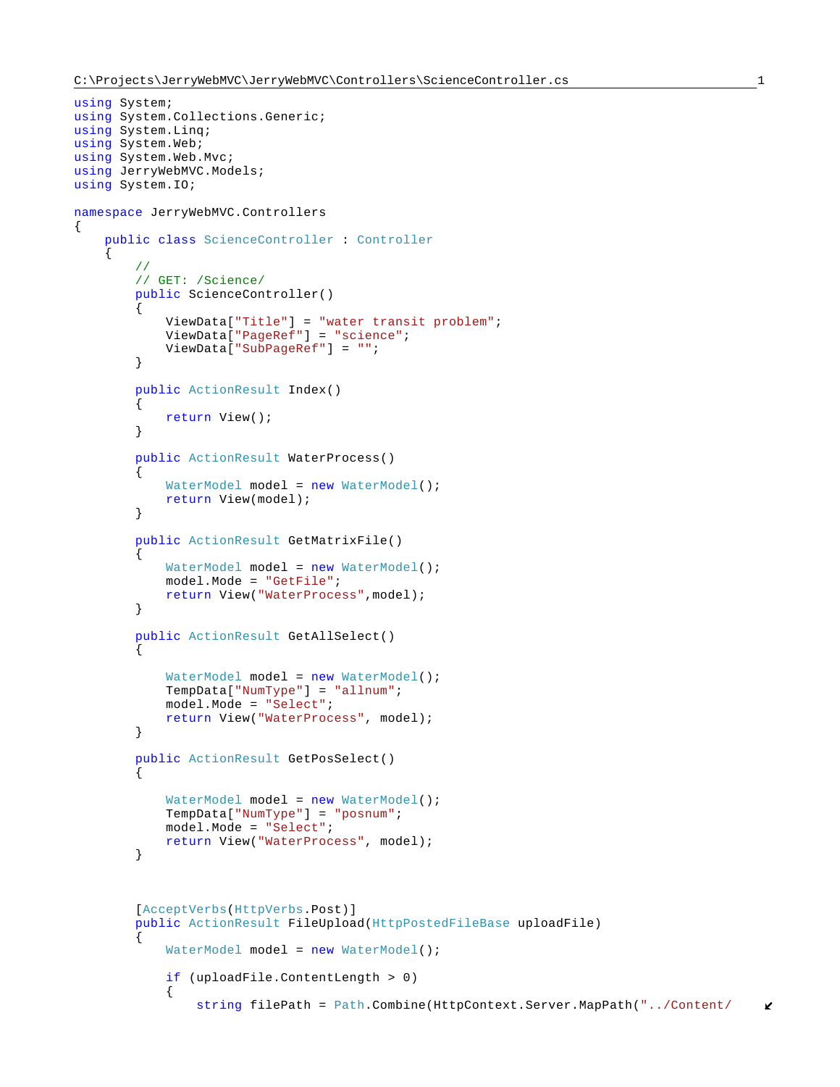```
using System;
using System.Collections.Generic;
using System.Linq;
using System.Web;
using System.Web.Mvc;
using JerryWebMVC.Models;
using System.IO;
namespace JerryWebMVC.Controllers
{
    public class ScienceController : Controller
     {
        //
        // GET: /Science/
        public ScienceController()
\{ ViewData["Title"] = "water transit problem";
            ViewData["PageRef"] = "science";
            ViewData["SubPageRef"] = "";
 }
        public ActionResult Index()
\{return View();<br>}
 }
        public ActionResult WaterProcess()
\{WaterModel model = new WaterModel();
            return View(model);
        }
        public ActionResult GetMatrixFile()
\{WaterModel model = new WaterModel();
            model.Mode = "GetFile";
            return View("WaterProcess",model);
         }
        public ActionResult GetAllSelect()
\{WaterModel model = new WaterModel();
            TempData["NumType"] = "allnum";
            model.Mode = "Select";
            return View("WaterProcess", model);
        }
        public ActionResult GetPosSelect()
\{WaterModel model = new WaterModel();
            TempData["NumType"] = "posnum";
            model.Mode = "Select";
            return View("WaterProcess", model);
        }
        [AcceptVerbs(HttpVerbs.Post)]
       public ActionResult FileUpload(HttpPostedFileBase uploadFile)
\{WaterModel model = new WaterModel();
            if (uploadFile.ContentLength > 0)
\{ string filePath = Path.Combine(HttpContext.Server.MapPath("../Content/
```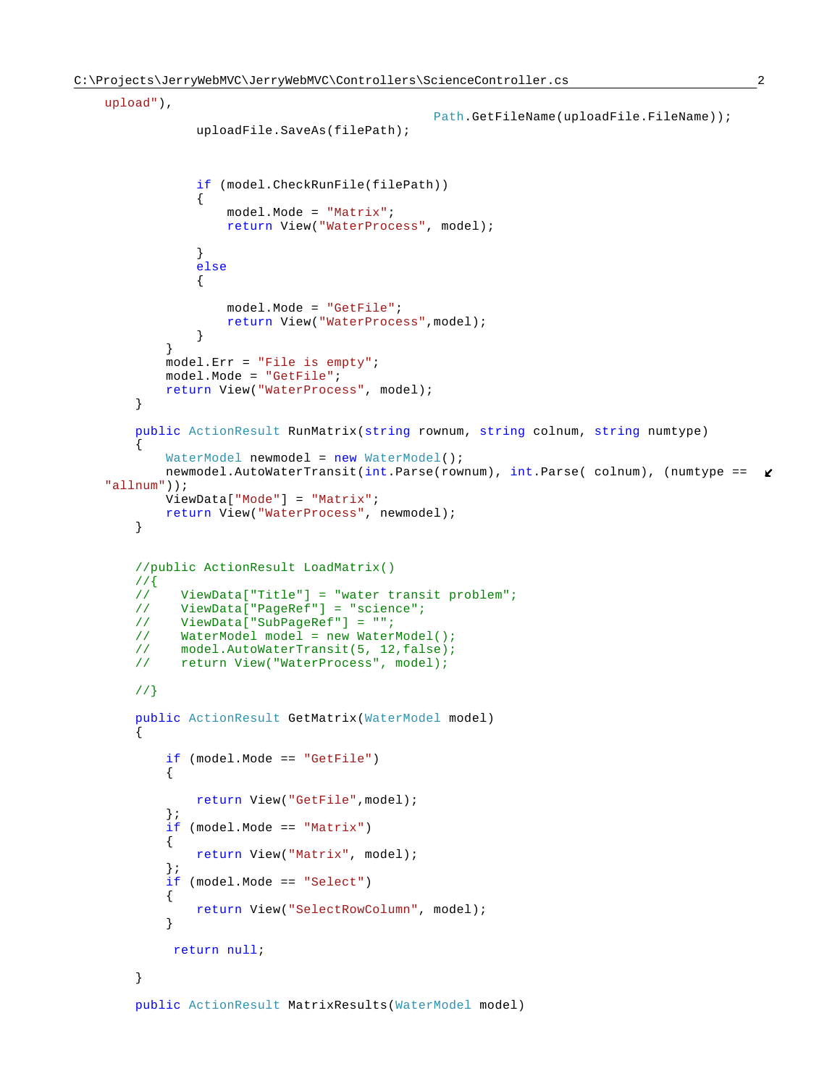public ActionResult MatrixResults(WaterModel model)

```
upload"),
                                                Path.GetFileName(uploadFile.FileName));
                 uploadFile.SaveAs(filePath);
                 if (model.CheckRunFile(filePath))
{
                     model.Mode = "Matrix";
                     return View("WaterProcess", model);
 }
                else
                {
                    model.Mode = "GetFile";
                     return View("WaterProcess",model);
 }
 }
            model.Err = "File is empty";
            model.Mode = "GetFile";
            return View("WaterProcess", model);
        }
        public ActionResult RunMatrix(string rownum, string colnum, string numtype)
\{WaterModel newmodel = new WaterModel();
           newmodel.AutoWaterTransit(int.Parse(rownum), int.Parse( colnum), (numtype == \mathbf{\ell}"allnum"));
            ViewData["Mode"] = "Matrix";
            return View("WaterProcess", newmodel);
        }
        //public ActionResult LoadMatrix()
        //{
             ViewData["Title"] = "water transit problem";
       // ViewData["PageRef"] = "science";<br>// ViewData["SubPageRef"] = "";
             ViewData["SubPageRef"] = "";
        // WaterModel model = new WaterModel();
       // model.AutoWaterTransit(5, 12,false);<br>// return View("WaterProcess", model);
             return View("WaterProcess", model);
        //}
        public ActionResult GetMatrix(WaterModel model)
\{ if (model.Mode == "GetFile")
\{return View("GetFile",model);
            }; 
            if (model.Mode == "Matrix")
\{ return View("Matrix", model);
            };
            if (model.Mode == "Select")
\{ return View("SelectRowColumn", model);
 }
             return null;
        }
```